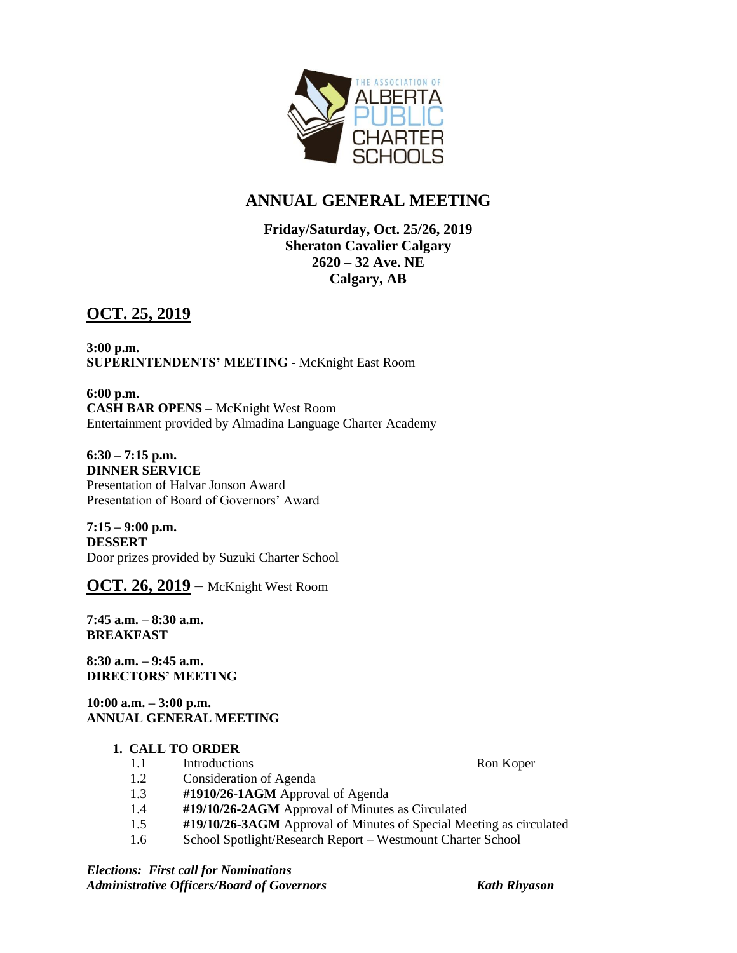

# **ANNUAL GENERAL MEETING**

## **Friday/Saturday, Oct. 25/26, 2019 Sheraton Cavalier Calgary 2620 – 32 Ave. NE Calgary, AB**

## **OCT. 25, 2019**

**3:00 p.m. SUPERINTENDENTS' MEETING -** McKnight East Room

**6:00 p.m. CASH BAR OPENS –** McKnight West Room Entertainment provided by Almadina Language Charter Academy

**6:30 – 7:15 p.m. DINNER SERVICE** Presentation of Halvar Jonson Award Presentation of Board of Governors' Award

**7:15 – 9:00 p.m. DESSERT** Door prizes provided by Suzuki Charter School

**OCT. 26, 2019** – McKnight West Room

**7:45 a.m. – 8:30 a.m. BREAKFAST** 

**8:30 a.m. – 9:45 a.m. DIRECTORS' MEETING** 

**10:00 a.m. – 3:00 p.m. ANNUAL GENERAL MEETING**

## **1. CALL TO ORDER**

1.1 Introductions Ron Koper

- 1.2 Consideration of Agenda
- 1.3 **#1910/26-1AGM** Approval of Agenda
- 1.4 **#19/10/26-2AGM** Approval of Minutes as Circulated
- 1.5 **#19/10/26-3AGM** Approval of Minutes of Special Meeting as circulated
- 1.6 School Spotlight/Research Report Westmount Charter School

*Elections: First call for Nominations Administrative Officers/Board of Governors Kath Rhyason*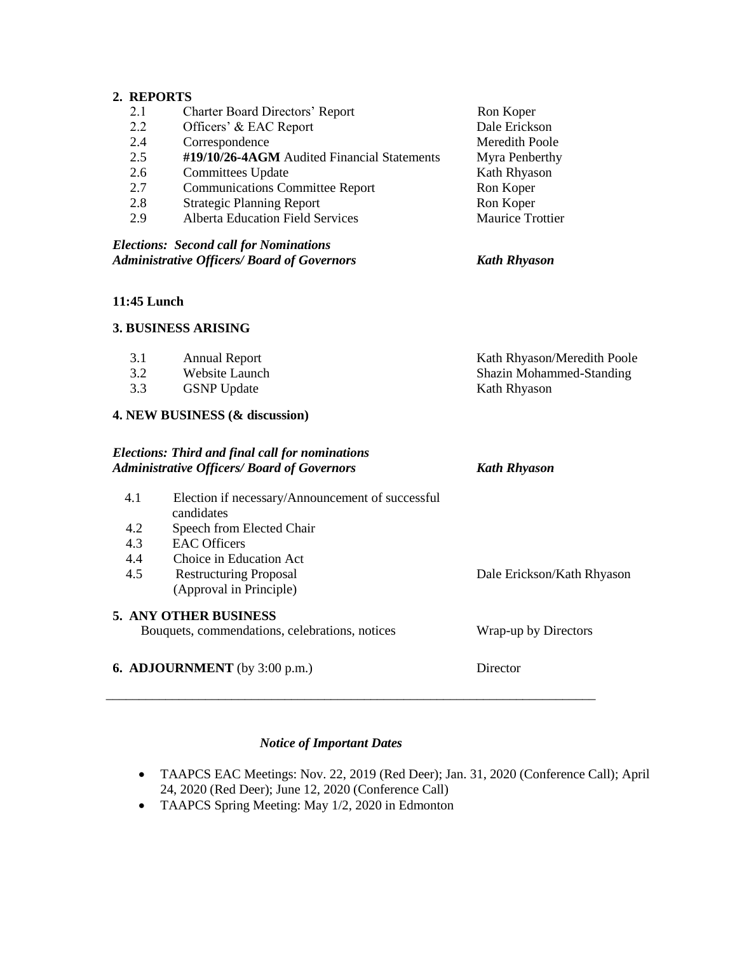## **2. REPORTS**

| <b>Elections: Second call for Nominations</b><br><b>Administrative Officers/ Board of Governors</b> |                         |  |
|-----------------------------------------------------------------------------------------------------|-------------------------|--|
|                                                                                                     |                         |  |
| <b>Alberta Education Field Services</b>                                                             | <b>Maurice Trottier</b> |  |
| <b>Strategic Planning Report</b>                                                                    | Ron Koper               |  |
| <b>Communications Committee Report</b>                                                              | Ron Koper               |  |
| Committees Update                                                                                   | Kath Rhyason            |  |
| #19/10/26-4AGM Audited Financial Statements                                                         | Myra Penberthy          |  |
| Correspondence                                                                                      | Meredith Poole          |  |
| Officers' & EAC Report                                                                              | Dale Erickson           |  |
| <b>Charter Board Directors' Report</b>                                                              | Ron Koper               |  |
|                                                                                                     |                         |  |

#### **11:45 Lunch**

#### **3. BUSINESS ARISING**

| 3.1                            | <b>Annual Report</b> | Kath Rhyason/Meredith Poole     |  |
|--------------------------------|----------------------|---------------------------------|--|
| 3.2                            | Website Launch       | <b>Shazin Mohammed-Standing</b> |  |
| 3.3                            | <b>GSNP</b> Update   | Kath Rhyason                    |  |
| 4. NEW BUSINESS (& discussion) |                      |                                 |  |

|     | <b>Elections: Third and final call for nominations</b><br><b>Administrative Officers/ Board of Governors</b> | <b>Kath Rhyason</b>        |
|-----|--------------------------------------------------------------------------------------------------------------|----------------------------|
| 4.1 | Election if necessary/Announcement of successful<br>candidates                                               |                            |
| 4.2 | Speech from Elected Chair                                                                                    |                            |
| 4.3 | <b>EAC</b> Officers                                                                                          |                            |
| 4.4 | Choice in Education Act                                                                                      |                            |
| 4.5 | <b>Restructuring Proposal</b>                                                                                | Dale Erickson/Kath Rhyason |
|     | (Approval in Principle)                                                                                      |                            |
|     | <b>5. ANY OTHER BUSINESS</b>                                                                                 |                            |
|     | Bouquets, commendations, celebrations, notices                                                               | Wrap-up by Directors       |
|     | <b>6. ADJOURNMENT</b> (by $3:00$ p.m.)                                                                       | Director                   |

## *Notice of Important Dates*

*\_\_\_\_\_\_\_\_\_\_\_\_\_\_\_\_\_\_\_\_\_\_\_\_\_\_\_\_\_\_\_\_\_\_\_\_\_\_\_\_\_\_\_\_\_\_\_\_\_\_\_\_\_\_\_\_\_\_\_\_\_\_\_\_\_\_\_\_\_\_\_\_\_\_*

- TAAPCS EAC Meetings: Nov. 22, 2019 (Red Deer); Jan. 31, 2020 (Conference Call); April 24, 2020 (Red Deer); June 12, 2020 (Conference Call)
- TAAPCS Spring Meeting: May 1/2, 2020 in Edmonton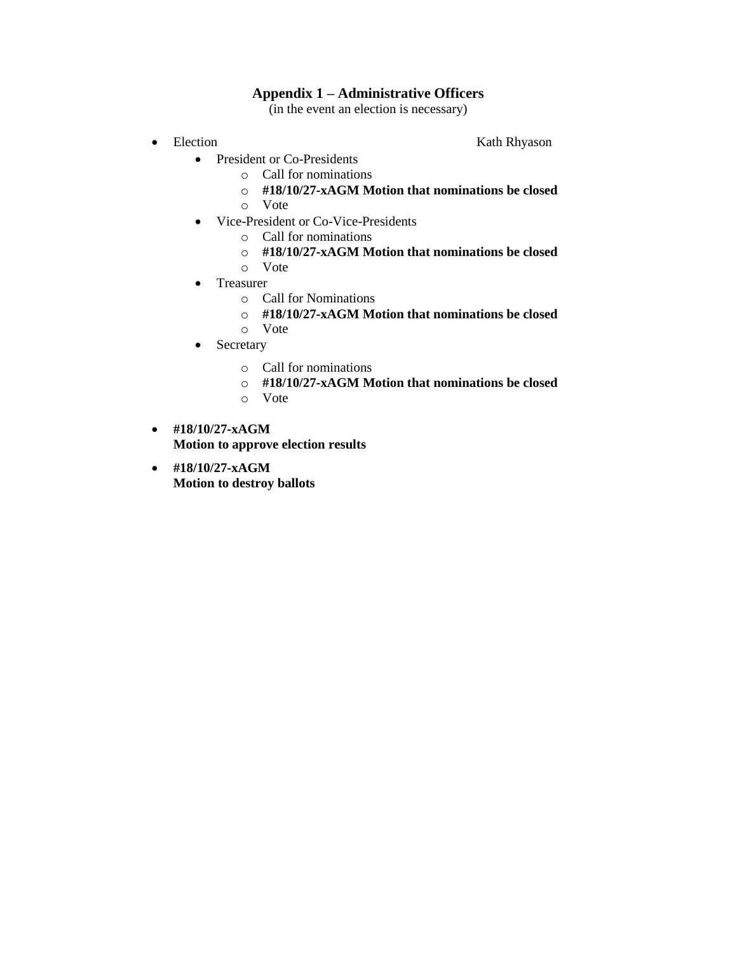## **Appendix 1 – Administrative Officers**

(in the event an election is necessary)

- $\bullet$  Election Rath Rh
- Election Kath Rhyason
	- President or Co-Presidents
		- o Call for nominations
		- o **#18/10/27-xAGM Motion that nominations be closed**
		- o Vote
	- Vice-President or Co-Vice-Presidents
		- o Call for nominations
		- o **#18/10/27-xAGM Motion that nominations be closed**
		- o Vote
	- Treasurer
		- o Call for Nominations
		- o **#18/10/27-xAGM Motion that nominations be closed**
		- o Vote
	- Secretary
		- o Call for nominations
		- o **#18/10/27-xAGM Motion that nominations be closed**
		- o Vote
- **#18/10/27-xAGM Motion to approve election results**
- **#18/10/27-xAGM Motion to destroy ballots**